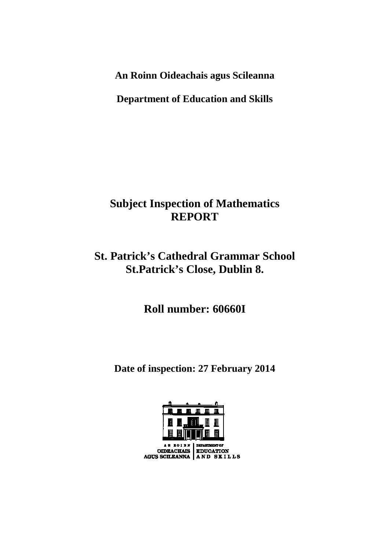**An Roinn Oideachais agus Scileanna** 

**Department of Education and Skills** 

# **Subject Inspection of Mathematics REPORT**

**St. Patrick's Cathedral Grammar School St.Patrick's Close, Dublin 8.** 

**Roll number: 60660I** 

**Date of inspection: 27 February 2014** 

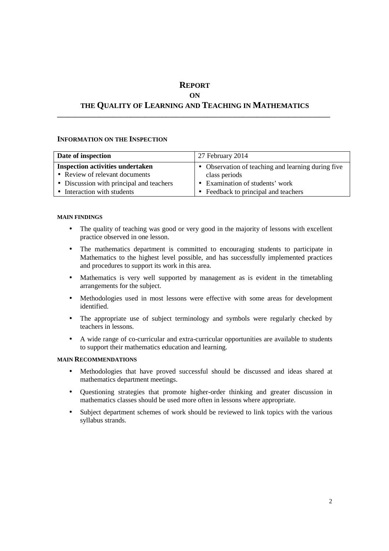## **REPORT**

#### **ON**

### **THE QUALITY OF LEARNING AND TEACHING IN MATHEMATICS \_\_\_\_\_\_\_\_\_\_\_\_\_\_\_\_\_\_\_\_\_\_\_\_\_\_\_\_\_\_\_\_\_\_\_\_\_\_\_\_\_\_\_\_\_\_\_\_\_\_\_\_\_\_\_\_\_\_\_\_\_\_\_\_\_\_\_\_\_\_\_\_\_\_\_\_\_\_**

#### **INFORMATION ON THE INSPECTION**

| Date of inspection                       | 27 February 2014                                   |
|------------------------------------------|----------------------------------------------------|
| <b>Inspection activities undertaken</b>  | • Observation of teaching and learning during five |
| • Review of relevant documents           | class periods                                      |
| • Discussion with principal and teachers | • Examination of students' work                    |
| • Interaction with students              | • Feedback to principal and teachers               |

#### **MAIN FINDINGS**

- The quality of teaching was good or very good in the majority of lessons with excellent practice observed in one lesson.
- The mathematics department is committed to encouraging students to participate in Mathematics to the highest level possible, and has successfully implemented practices and procedures to support its work in this area.
- Mathematics is very well supported by management as is evident in the timetabling arrangements for the subject.
- Methodologies used in most lessons were effective with some areas for development identified.
- The appropriate use of subject terminology and symbols were regularly checked by teachers in lessons.
- A wide range of co-curricular and extra-curricular opportunities are available to students to support their mathematics education and learning.

#### **MAIN RECOMMENDATIONS**

- Methodologies that have proved successful should be discussed and ideas shared at mathematics department meetings.
- Questioning strategies that promote higher-order thinking and greater discussion in mathematics classes should be used more often in lessons where appropriate.
- Subject department schemes of work should be reviewed to link topics with the various syllabus strands.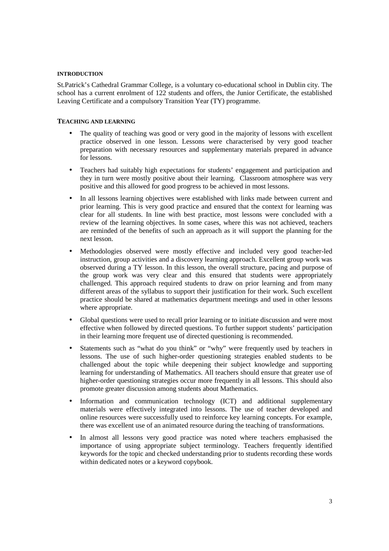#### **INTRODUCTION**

St.Patrick's Cathedral Grammar College, is a voluntary co-educational school in Dublin city. The school has a current enrolment of 122 students and offers, the Junior Certificate, the established Leaving Certificate and a compulsory Transition Year (TY) programme.

#### **TEACHING AND LEARNING**

- The quality of teaching was good or very good in the majority of lessons with excellent practice observed in one lesson. Lessons were characterised by very good teacher preparation with necessary resources and supplementary materials prepared in advance for lessons.
- Teachers had suitably high expectations for students' engagement and participation and they in turn were mostly positive about their learning. Classroom atmosphere was very positive and this allowed for good progress to be achieved in most lessons.
- In all lessons learning objectives were established with links made between current and prior learning. This is very good practice and ensured that the context for learning was clear for all students. In line with best practice, most lessons were concluded with a review of the learning objectives. In some cases, where this was not achieved, teachers are reminded of the benefits of such an approach as it will support the planning for the next lesson.
- Methodologies observed were mostly effective and included very good teacher-led instruction, group activities and a discovery learning approach. Excellent group work was observed during a TY lesson. In this lesson, the overall structure, pacing and purpose of the group work was very clear and this ensured that students were appropriately challenged. This approach required students to draw on prior learning and from many different areas of the syllabus to support their justification for their work. Such excellent practice should be shared at mathematics department meetings and used in other lessons where appropriate.
- Global questions were used to recall prior learning or to initiate discussion and were most effective when followed by directed questions. To further support students' participation in their learning more frequent use of directed questioning is recommended.
- Statements such as "what do you think" or "why" were frequently used by teachers in lessons. The use of such higher-order questioning strategies enabled students to be challenged about the topic while deepening their subject knowledge and supporting learning for understanding of Mathematics. All teachers should ensure that greater use of higher-order questioning strategies occur more frequently in all lessons. This should also promote greater discussion among students about Mathematics.
- Information and communication technology (ICT) and additional supplementary materials were effectively integrated into lessons. The use of teacher developed and online resources were successfully used to reinforce key learning concepts. For example, there was excellent use of an animated resource during the teaching of transformations.
- In almost all lessons very good practice was noted where teachers emphasised the importance of using appropriate subject terminology. Teachers frequently identified keywords for the topic and checked understanding prior to students recording these words within dedicated notes or a keyword copybook.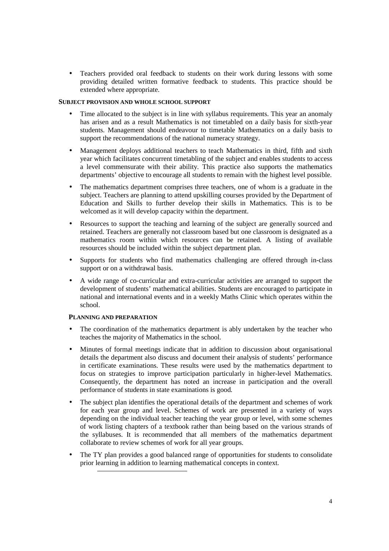• Teachers provided oral feedback to students on their work during lessons with some providing detailed written formative feedback to students. This practice should be extended where appropriate.

#### **SUBJECT PROVISION AND WHOLE SCHOOL SUPPORT**

- Time allocated to the subject is in line with syllabus requirements. This year an anomaly has arisen and as a result Mathematics is not timetabled on a daily basis for sixth-year students. Management should endeavour to timetable Mathematics on a daily basis to support the recommendations of the national numeracy strategy.
- Management deploys additional teachers to teach Mathematics in third, fifth and sixth year which facilitates concurrent timetabling of the subject and enables students to access a level commensurate with their ability. This practice also supports the mathematics departments' objective to encourage all students to remain with the highest level possible.
- The mathematics department comprises three teachers, one of whom is a graduate in the subject. Teachers are planning to attend upskilling courses provided by the Department of Education and Skills to further develop their skills in Mathematics. This is to be welcomed as it will develop capacity within the department.
- Resources to support the teaching and learning of the subject are generally sourced and retained. Teachers are generally not classroom based but one classroom is designated as a mathematics room within which resources can be retained. A listing of available resources should be included within the subject department plan.
- Supports for students who find mathematics challenging are offered through in-class support or on a withdrawal basis.
- A wide range of co-curricular and extra-curricular activities are arranged to support the development of students' mathematical abilities. Students are encouraged to participate in national and international events and in a weekly Maths Clinic which operates within the school.

#### **PLANNING AND PREPARATION**

- The coordination of the mathematics department is ably undertaken by the teacher who teaches the majority of Mathematics in the school.
- Minutes of formal meetings indicate that in addition to discussion about organisational details the department also discuss and document their analysis of students' performance in certificate examinations. These results were used by the mathematics department to focus on strategies to improve participation particularly in higher-level Mathematics. Consequently, the department has noted an increase in participation and the overall performance of students in state examinations is good.
- The subject plan identifies the operational details of the department and schemes of work for each year group and level. Schemes of work are presented in a variety of ways depending on the individual teacher teaching the year group or level, with some schemes of work listing chapters of a textbook rather than being based on the various strands of the syllabuses. It is recommended that all members of the mathematics department collaborate to review schemes of work for all year groups.
- The TY plan provides a good balanced range of opportunities for students to consolidate prior learning in addition to learning mathematical concepts in context.